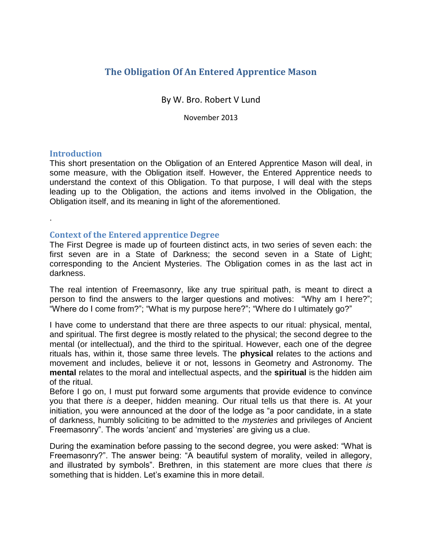# **The Obligation Of An Entered Apprentice Mason**

By W. Bro. Robert V Lund

November 2013

# **Introduction**

.

This short presentation on the Obligation of an Entered Apprentice Mason will deal, in some measure, with the Obligation itself. However, the Entered Apprentice needs to understand the context of this Obligation. To that purpose, I will deal with the steps leading up to the Obligation, the actions and items involved in the Obligation, the Obligation itself, and its meaning in light of the aforementioned.

# **Context of the Entered apprentice Degree**

The First Degree is made up of fourteen distinct acts, in two series of seven each: the first seven are in a State of Darkness; the second seven in a State of Light; corresponding to the Ancient Mysteries. The Obligation comes in as the last act in darkness.

The real intention of Freemasonry, like any true spiritual path, is meant to direct a person to find the answers to the larger questions and motives: "Why am I here?"; "Where do I come from?"; "What is my purpose here?"; "Where do I ultimately go?"

I have come to understand that there are three aspects to our ritual: physical, mental, and spiritual. The first degree is mostly related to the physical; the second degree to the mental (or intellectual), and the third to the spiritual. However, each one of the degree rituals has, within it, those same three levels. The **physical** relates to the actions and movement and includes, believe it or not, lessons in Geometry and Astronomy. The **mental** relates to the moral and intellectual aspects, and the **spiritual** is the hidden aim of the ritual.

Before I go on, I must put forward some arguments that provide evidence to convince you that there *is* a deeper, hidden meaning. Our ritual tells us that there is. At your initiation, you were announced at the door of the lodge as "a poor candidate, in a state of darkness, humbly soliciting to be admitted to the *mysteries* and privileges of Ancient Freemasonry". The words 'ancient' and 'mysteries' are giving us a clue.

During the examination before passing to the second degree, you were asked: "What is Freemasonry?". The answer being: "A beautiful system of morality, veiled in allegory, and illustrated by symbols". Brethren, in this statement are more clues that there *is*  something that is hidden. Let's examine this in more detail.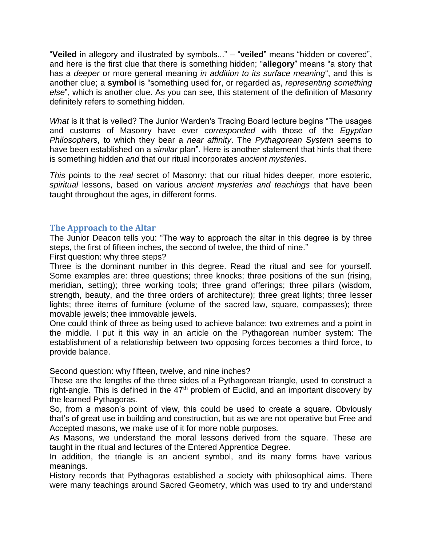"**Veiled** in allegory and illustrated by symbols..." – "**veiled**" means "hidden or covered", and here is the first clue that there is something hidden; "**allegory**" means "a story that has a *deeper* or more general meaning *in addition to its surface meaning*", and this is another clue; a **symbol** is "something used for, or regarded as, *representing something else*", which is another clue. As you can see, this statement of the definition of Masonry definitely refers to something hidden.

What is it that is veiled? The Junior Warden's Tracing Board lecture begins "The usages and customs of Masonry have ever *corresponded* with those of the *Egyptian Philosophers*, to which they bear a *near affinity*. The *Pythagorean System* seems to have been established on a *similar* plan". Here is another statement that hints that there is something hidden *and* that our ritual incorporates *ancient mysteries*.

*This* points to the *real* secret of Masonry: that our ritual hides deeper, more esoteric, *spiritual* lessons, based on various *ancient mysteries and teachings* that have been taught throughout the ages, in different forms.

# **The Approach to the Altar**

The Junior Deacon tells you: "The way to approach the altar in this degree is by three steps, the first of fifteen inches, the second of twelve, the third of nine." First question: why three steps?

Three is the dominant number in this degree. Read the ritual and see for yourself. Some examples are: three questions; three knocks; three positions of the sun (rising, meridian, setting); three working tools; three grand offerings; three pillars (wisdom, strength, beauty, and the three orders of architecture); three great lights; three lesser lights; three items of furniture (volume of the sacred law, square, compasses); three movable jewels; thee immovable jewels.

One could think of three as being used to achieve balance: two extremes and a point in the middle. I put it this way in an article on the Pythagorean number system: The establishment of a relationship between two opposing forces becomes a third force, to provide balance.

Second question: why fifteen, twelve, and nine inches?

These are the lengths of the three sides of a Pythagorean triangle, used to construct a right-angle. This is defined in the  $47<sup>th</sup>$  problem of Euclid, and an important discovery by the learned Pythagoras.

So, from a mason's point of view, this could be used to create a square. Obviously that's of great use in building and construction, but as we are not operative but Free and Accepted masons, we make use of it for more noble purposes.

As Masons, we understand the moral lessons derived from the square. These are taught in the ritual and lectures of the Entered Apprentice Degree.

In addition, the triangle is an ancient symbol, and its many forms have various meanings.

History records that Pythagoras established a society with philosophical aims. There were many teachings around Sacred Geometry, which was used to try and understand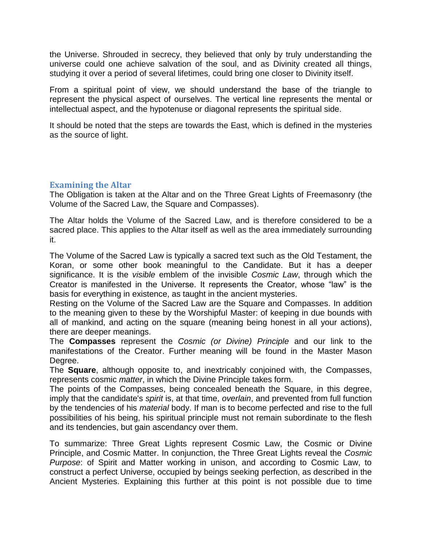the Universe. Shrouded in secrecy, they believed that only by truly understanding the universe could one achieve salvation of the soul, and as Divinity created all things, studying it over a period of several lifetimes, could bring one closer to Divinity itself.

From a spiritual point of view, we should understand the base of the triangle to represent the physical aspect of ourselves. The vertical line represents the mental or intellectual aspect, and the hypotenuse or diagonal represents the spiritual side.

It should be noted that the steps are towards the East, which is defined in the mysteries as the source of light.

# **Examining the Altar**

The Obligation is taken at the Altar and on the Three Great Lights of Freemasonry (the Volume of the Sacred Law, the Square and Compasses).

The Altar holds the Volume of the Sacred Law, and is therefore considered to be a sacred place. This applies to the Altar itself as well as the area immediately surrounding it.

The Volume of the Sacred Law is typically a sacred text such as the Old Testament, the Koran, or some other book meaningful to the Candidate. But it has a deeper significance. It is the *visible* emblem of the invisible *Cosmic Law*, through which the Creator is manifested in the Universe. It represents the Creator, whose "law" is the basis for everything in existence, as taught in the ancient mysteries.

Resting on the Volume of the Sacred Law are the Square and Compasses. In addition to the meaning given to these by the Worshipful Master: of keeping in due bounds with all of mankind, and acting on the square (meaning being honest in all your actions), there are deeper meanings.

The **Compasses** represent the *Cosmic (or Divine) Principle* and our link to the manifestations of the Creator. Further meaning will be found in the Master Mason Degree.

The **Square**, although opposite to, and inextricably conjoined with, the Compasses, represents cosmic *matter*, in which the Divine Principle takes form.

The points of the Compasses, being concealed beneath the Square, in this degree, imply that the candidate's *spirit* is, at that time, *overlain*, and prevented from full function by the tendencies of his *material* body. If man is to become perfected and rise to the full possibilities of his being, his spiritual principle must not remain subordinate to the flesh and its tendencies, but gain ascendancy over them.

To summarize: Three Great Lights represent Cosmic Law, the Cosmic or Divine Principle, and Cosmic Matter. In conjunction, the Three Great Lights reveal the *Cosmic Purpose*: of Spirit and Matter working in unison, and according to Cosmic Law, to construct a perfect Universe, occupied by beings seeking perfection, as described in the Ancient Mysteries. Explaining this further at this point is not possible due to time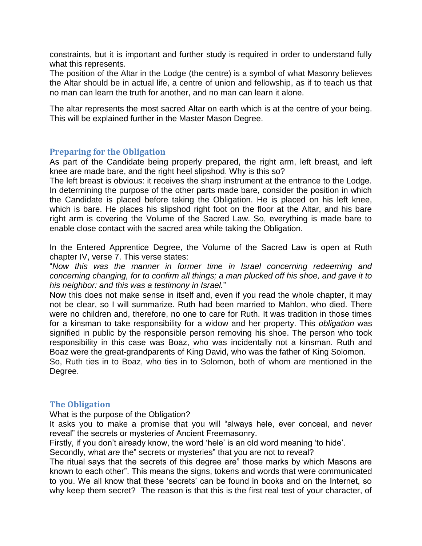constraints, but it is important and further study is required in order to understand fully what this represents.

The position of the Altar in the Lodge (the centre) is a symbol of what Masonry believes the Altar should be in actual life, a centre of union and fellowship, as if to teach us that no man can learn the truth for another, and no man can learn it alone.

The altar represents the most sacred Altar on earth which is at the centre of your being. This will be explained further in the Master Mason Degree.

# **Preparing for the Obligation**

As part of the Candidate being properly prepared, the right arm, left breast, and left knee are made bare, and the right heel slipshod. Why is this so?

The left breast is obvious: it receives the sharp instrument at the entrance to the Lodge. In determining the purpose of the other parts made bare, consider the position in which the Candidate is placed before taking the Obligation. He is placed on his left knee, which is bare. He places his slipshod right foot on the floor at the Altar, and his bare right arm is covering the Volume of the Sacred Law. So, everything is made bare to enable close contact with the sacred area while taking the Obligation.

In the Entered Apprentice Degree, the Volume of the Sacred Law is open at Ruth chapter IV, verse 7. This verse states:

"*Now this was the manner in former time in Israel concerning redeeming and concerning changing, for to confirm all things; a man plucked off his shoe, and gave it to his neighbor: and this was a testimony in Israel.*"

Now this does not make sense in itself and, even if you read the whole chapter, it may not be clear, so I will summarize. Ruth had been married to Mahlon, who died. There were no children and, therefore, no one to care for Ruth. It was tradition in those times for a kinsman to take responsibility for a widow and her property. This *obligation* was signified in public by the responsible person removing his shoe. The person who took responsibility in this case was Boaz, who was incidentally not a kinsman. Ruth and Boaz were the great-grandparents of King David, who was the father of King Solomon. So, Ruth ties in to Boaz, who ties in to Solomon, both of whom are mentioned in the

Degree.

# **The Obligation**

What is the purpose of the Obligation?

It asks you to make a promise that you will "always hele, ever conceal, and never reveal" the secrets or mysteries of Ancient Freemasonry.

Firstly, if you don't already know, the word 'hele' is an old word meaning 'to hide'.

Secondly, what *are* the" secrets or mysteries" that you are not to reveal?

The ritual says that the secrets of this degree are" those marks by which Masons are known to each other". This means the signs, tokens and words that were communicated to you. We all know that these 'secrets' can be found in books and on the Internet, so why keep them secret? The reason is that this is the first real test of your character, of